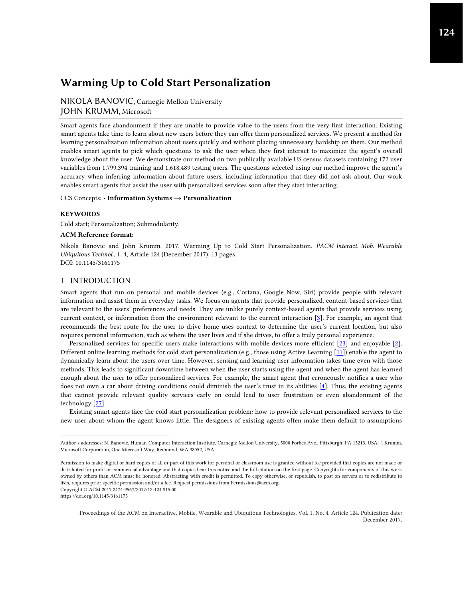# Warming Up to Cold Start Personalization

## NIKOLA BANOVIC, Carnegie Mellon University JOHN KRUMM, Microsof

Smart agents face abandonment if they are unable to provide value to the users from the very first interaction. Existing smart agents take time to learn about new users before they can offer them personalized services. We present a method for learning personalization information about users quickly and without placing unnecessary hardship on them. Our method enables smart agents to pick which questions to ask the user when they first interact to maximize the agent's overall knowledge about the user. We demonstrate our method on two publically available US census datasets containing 172 user variables from 1,799,394 training and 1,618,489 testing users. The questions selected using our method improve the agent's accuracy when inferring information about future users, including information that they did not ask about. Our work enables smart agents that assist the user with personalized services soon after they start interacting.

### CCS Concepts: • Information Systems → Personalization

### **KEYWORDS**

Cold start; Personalization; Submodularity.

#### ACM Reference format:

Nikola Banovic and John Krumm. 2017. Warming Up to Cold Start Personalization. *PACM Interact. Mob. Wearable Ubiquitous Technol.,* 1, 4, Article 124 (December 2017), 13 pages. DOI: 10.1145/3161175

### 1 INTRODUCTION

Smart agents that run on personal and mobile devices (e.g., Cortana, Google Now, Siri) provide people with relevant information and assist them in everyday tasks. We focus on agents that provide personalized, content-based services that are relevant to the users' preferences and needs. They are unlike purely context-based agents that provide services using current context, or information from the environment relevant to the current interaction [3]. For example, an agent that recommends the best route for the user to drive home uses context to determine the user's current location, but also requires personal information, such as where the user lives and if she drives, to offer a truly personal experience.

Personalized services for specific users make interactions with mobile devices more efficient [23] and enjoyable [2]. Different online learning methods for cold start personalization (e.g., those using Active Learning [11]) enable the agent to dynamically learn about the users over time. However, sensing and learning user information takes time even with those methods. This leads to significant downtime between when the user starts using the agent and when the agent has learned enough about the user to offer personalized services. For example, the smart agent that erroneously notifies a user who does not own a car about driving conditions could diminish the user's trust in its abilities  $[4]$ . Thus, the existing agents that cannot provide relevant quality services early on could lead to user frustration or even abandonment of the technology [27].

Existing smart agents face the cold start personalization problem: how to provide relevant personalized services to the new user about whom the agent knows little. The designers of existing agents often make them default to assumptions

Copyright © ACM 2017 2474-9567/2017/12-124 \$15.00

https://doi.org/10.1145/3161175

 $\overline{a}$ 

Author's addresses: N. Banovic, Human-Computer Interaction Institute, Carnegie Mellon University, 5000 Forbes Ave., Pittsburgh, PA 15213, USA; J. Krumm, Microsoft Corporation, One Microsoft Way, Redmond, WA 98052, USA.

Permission to make digital or hard copies of all or part of this work for personal or classroom use is granted without fee provided that copies are not made or distributed for profit or commercial advantage and that copies bear this notice and the full citation on the first page. Copyrights for components of this work owned by others than ACM must be honored. Abstracting with credit is permitted. To copy otherwise, or republish, to post on servers or to redistribute to lists, requires prior specific permission and/or a fee. Request permissions from Permissions@acm.org.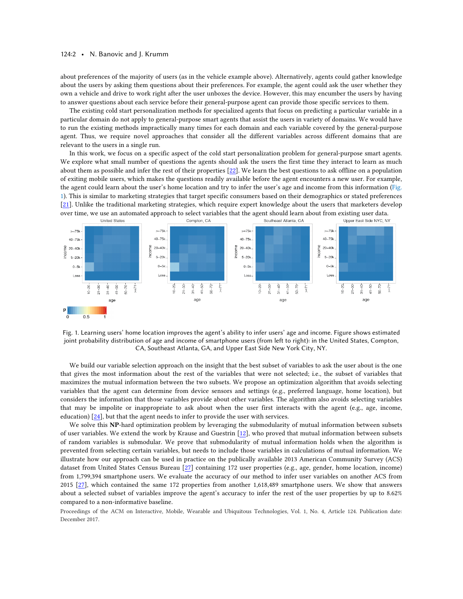#### 124:2 • N. Banovic and J. Krumm

about preferences of the majority of users (as in the vehicle example above). Alternatively, agents could gather knowledge about the users by asking them questions about their preferences. For example, the agent could ask the user whether they own a vehicle and drive to work right after the user unboxes the device. However, this may encumber the users by having to answer questions about each service before their general-purpose agent can provide those specific services to them.

The existing cold start personalization methods for specialized agents that focus on predicting a particular variable in a particular domain do not apply to general-purpose smart agents that assist the users in variety of domains. We would have to run the existing methods impractically many times for each domain and each variable covered by the general-purpose agent. Thus, we require novel approaches that consider all the different variables across different domains that are relevant to the users in a single run.

In this work, we focus on a specific aspect of the cold start personalization problem for general-purpose smart agents. We explore what small number of questions the agents should ask the users the first time they interact to learn as much about them as possible and infer the rest of their properties [22]. We learn the best questions to ask offline on a population of exiting mobile users, which makes the questions readily available before the agent encounters a new user. For example, the agent could learn about the user's home location and try to infer the user's age and income from this information (Fig. 1). This is similar to marketing strategies that target specific consumers based on their demographics or stated preferences [21]. Unlike the traditional marketing strategies, which require expert knowledge about the users that marketers develop over time, we use an automated approach to select variables that the agent should learn about from existing user data.



Fig. 1. Learning users' home location improves the agent's ability to infer users' age and income. Figure shows estimated joint probability distribution of age and income of smartphone users (from left to right): in the United States, Compton, CA, Southeast Atlanta, GA, and Upper East Side New York City, NY.

We build our variable selection approach on the insight that the best subset of variables to ask the user about is the one that gives the most information about the rest of the variables that were not selected; i.e., the subset of variables that maximizes the mutual information between the two subsets. We propose an optimization algorithm that avoids selecting variables that the agent can determine from device sensors and settings (e.g., preferred language, home location), but considers the information that those variables provide about other variables. The algorithm also avoids selecting variables that may be impolite or inappropriate to ask about when the user first interacts with the agent (e.g., age, income, education) [24], but that the agent needs to infer to provide the user with services.

We solve this NP-hard optimization problem by leveraging the submodularity of mutual information between subsets of user variables. We extend the work by Krause and Guestrin [12], who proved that mutual information between subsets of random variables is submodular. We prove that submodularity of mutual information holds when the algorithm is prevented from selecting certain variables, but needs to include those variables in calculations of mutual information. We illustrate how our approach can be used in practice on the publically available 2013 American Community Survey (ACS) dataset from United States Census Bureau [27] containing 172 user properties (e.g., age, gender, home location, income) from 1,799,394 smartphone users. We evaluate the accuracy of our method to infer user variables on another ACS from 2015 [27], which contained the same 172 properties from another 1,618,489 smartphone users. We show that answers about a selected subset of variables improve the agent's accuracy to infer the rest of the user properties by up to 8.62% compared to a non-informative baseline.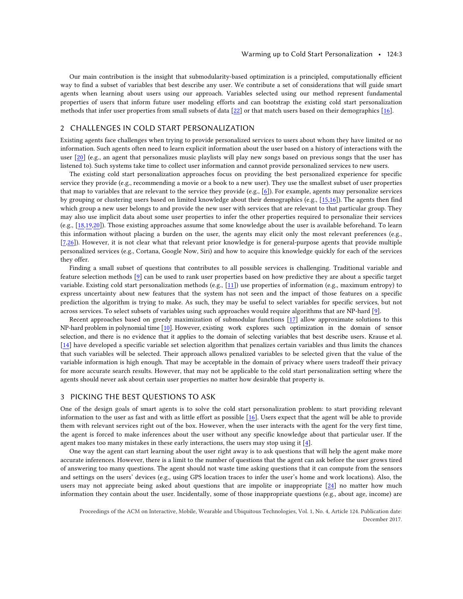Our main contribution is the insight that submodularity-based optimization is a principled, computationally efficient way to find a subset of variables that best describe any user. We contribute a set of considerations that will guide smart agents when learning about users using our approach. Variables selected using our method represent fundamental properties of users that inform future user modeling efforts and can bootstrap the existing cold start personalization methods that infer user properties from small subsets of data [22] or that match users based on their demographics [16].

### 2 CHALLENGES IN COLD START PERSONALIZATION

Existing agents face challenges when trying to provide personalized services to users about whom they have limited or no information. Such agents often need to learn explicit information about the user based on a history of interactions with the user [20] (e.g., an agent that personalizes music playlists will play new songs based on previous songs that the user has listened to). Such systems take time to collect user information and cannot provide personalized services to new users.

The existing cold start personalization approaches focus on providing the best personalized experience for specific service they provide (e.g., recommending a movie or a book to a new user). They use the smallest subset of user properties that map to variables that are relevant to the service they provide (e.g., [6]). For example, agents may personalize services by grouping or clustering users based on limited knowledge about their demographics (e.g., [15,16]). The agents then find which group a new user belongs to and provide the new user with services that are relevant to that particular group. They may also use implicit data about some user properties to infer the other properties required to personalize their services (e.g., [18,19,20]). Those existing approaches assume that some knowledge about the user is available beforehand. To learn this information without placing a burden on the user, the agents may elicit only the most relevant preferences (e.g., [7,26]). However, it is not clear what that relevant prior knowledge is for general-purpose agents that provide multiple personalized services (e.g., Cortana, Google Now, Siri) and how to acquire this knowledge quickly for each of the services they offer.

Finding a small subset of questions that contributes to all possible services is challenging. Traditional variable and feature selection methods [9] can be used to rank user properties based on how predictive they are about a specific target variable. Existing cold start personalization methods (e.g., [11]) use properties of information (e.g., maximum entropy) to express uncertainty about new features that the system has not seen and the impact of those features on a specific prediction the algorithm is trying to make. As such, they may be useful to select variables for specific services, but not across services. To select subsets of variables using such approaches would require algorithms that are NP-hard [9].

Recent approaches based on greedy maximization of submodular functions [17] allow approximate solutions to this NP-hard problem in polynomial time [10]. However, existing work explores such optimization in the domain of sensor selection, and there is no evidence that it applies to the domain of selecting variables that best describe users. Krause et al. [14] have developed a specific variable set selection algorithm that penalizes certain variables and thus limits the chances that such variables will be selected. Their approach allows penalized variables to be selected given that the value of the variable information is high enough. That may be acceptable in the domain of privacy where users tradeoff their privacy for more accurate search results. However, that may not be applicable to the cold start personalization setting where the agents should never ask about certain user properties no matter how desirable that property is.

### 3 PICKING THE BEST QUESTIONS TO ASK

One of the design goals of smart agents is to solve the cold start personalization problem: to start providing relevant information to the user as fast and with as little effort as possible [16]. Users expect that the agent will be able to provide them with relevant services right out of the box. However, when the user interacts with the agent for the very first time, the agent is forced to make inferences about the user without any specific knowledge about that particular user. If the agent makes too many mistakes in these early interactions, the users may stop using it [4].

One way the agent can start learning about the user right away is to ask questions that will help the agent make more accurate inferences. However, there is a limit to the number of questions that the agent can ask before the user grows tired of answering too many questions. The agent should not waste time asking questions that it can compute from the sensors and settings on the users' devices (e.g., using GPS location traces to infer the user's home and work locations). Also, the users may not appreciate being asked about questions that are impolite or inappropriate [24] no matter how much information they contain about the user. Incidentally, some of those inappropriate questions (e.g., about age, income) are

Proceedings of the ACM on Interactive, Mobile, Wearable and Ubiquitous Technologies, Vol. 1, No. 4, Article 124. Publication date: December 2017.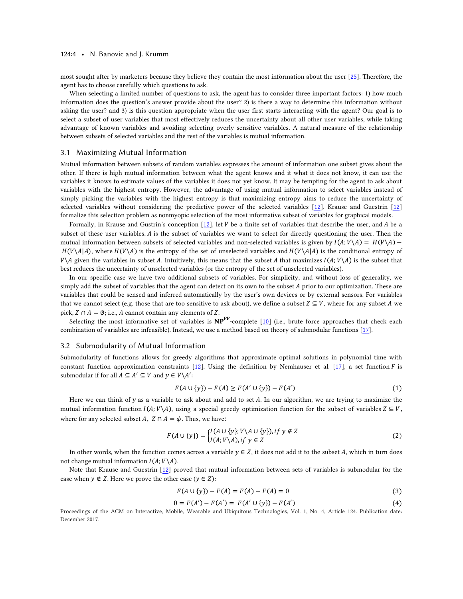#### 124:4 • N. Banovic and J. Krumm

most sought after by marketers because they believe they contain the most information about the user [25]. Therefore, the agent has to choose carefully which questions to ask.

When selecting a limited number of questions to ask, the agent has to consider three important factors: 1) how much information does the question's answer provide about the user? 2) is there a way to determine this information without asking the user? and 3) is this question appropriate when the user first starts interacting with the agent? Our goal is to select a subset of user variables that most effectively reduces the uncertainty about all other user variables, while taking advantage of known variables and avoiding selecting overly sensitive variables. A natural measure of the relationship between subsets of selected variables and the rest of the variables is mutual information.

#### 3.1 Maximizing Mutual Information

Mutual information between subsets of random variables expresses the amount of information one subset gives about the other. If there is high mutual information between what the agent knows and it what it does not know, it can use the variables it knows to estimate values of the variables it does not yet know. It may be tempting for the agent to ask about variables with the highest entropy. However, the advantage of using mutual information to select variables instead of simply picking the variables with the highest entropy is that maximizing entropy aims to reduce the uncertainty of selected variables without considering the predictive power of the selected variables [12]. Krause and Guestrin [12] formalize this selection problem as nonmyopic selection of the most informative subset of variables for graphical models.

Formally, in Krause and Gustrin's conception  $[12]$ , let  $V$  be a finite set of variables that describe the user, and  $A$  be a subset of these user variables. A is the subset of variables we want to select for directly questioning the user. Then the mutual information between subsets of selected variables and non-selected variables is given by  $I(A; V \setminus A) = H(V \setminus A)$  $H(V\setminus A|A)$ , where  $H(V\setminus A)$  is the entropy of the set of unselected variables and  $H(V\setminus A|A)$  is the conditional entropy of  $V \setminus A$  given the variables in subset A. Intuitively, this means that the subset A that maximizes  $I(A; V \setminus A)$  is the subset that best reduces the uncertainty of unselected variables (or the entropy of the set of unselected variables).

In our specific case we have two additional subsets of variables. For simplicity, and without loss of generality, we simply add the subset of variables that the agent can detect on its own to the subset  $A$  prior to our optimization. These are variables that could be sensed and inferred automatically by the user's own devices or by external sensors. For variables that we cannot select (e.g. those that are too sensitive to ask about), we define a subset  $Z \subseteq V$ , where for any subset A we pick,  $Z \cap A = \emptyset$ ; i.e., A cannot contain any elements of Z.

Selecting the most informative set of variables is  $NP^{PP}$ -complete [10] (i.e., brute force approaches that check each combination of variables are infeasible). Instead, we use a method based on theory of submodular functions [17].

### 3.2 Submodularity of Mutual Information

Submodularity of functions allows for greedy algorithms that approximate optimal solutions in polynomial time with constant function approximation constraints  $[12]$ . Using the definition by Nemhauser et al.  $[17]$ , a set function  $F$  is submodular if for all  $A \subseteq A' \subseteq V$  and  $y \in V \backslash A'$ :

$$
F(A \cup \{y\}) - F(A) \ge F(A' \cup \{y\}) - F(A')
$$
 (1)

Here we can think of  $y$  as a variable to ask about and add to set  $A$ . In our algorithm, we are trying to maximize the mutual information function  $I(A; V \setminus A)$ , using a special greedy optimization function for the subset of variables  $Z \subseteq V$ , where for any selected subset A,  $Z \cap A = \phi$ . Thus, we have:

$$
F(A \cup \{y\}) = \begin{cases} I(A \cup \{y\}; V \setminus A \cup \{y\}), & \text{if } y \notin Z \\ I(A; V \setminus A), & \text{if } y \in Z \end{cases}
$$
(2)

In other words, when the function comes across a variable  $y \in Z$ , it does not add it to the subset A, which in turn does not change mutual information  $I(A; V \setminus A)$ .

Note that Krause and Guestrin [12] proved that mutual information between sets of variables is submodular for the case when  $y \notin Z$ . Here we prove the other case ( $y \in Z$ ):

$$
F(A \cup \{y\}) - F(A) = F(A) - F(A) = 0
$$
\n(3)

$$
0 = F(A') - F(A') = F(A' \cup \{y\}) - F(A')
$$
\n(4)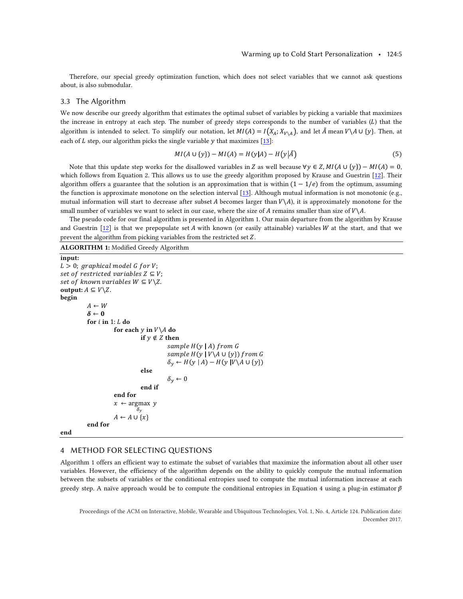Therefore, our special greedy optimization function, which does not select variables that we cannot ask questions about, is also submodular.

### 3.3 The Algorithm

We now describe our greedy algorithm that estimates the optimal subset of variables by picking a variable that maximizes the increase in entropy at each step. The number of greedy steps corresponds to the number of variables  $(L)$  that the algorithm is intended to select. To simplify our notation, let  $MI(A) = I(X_A; X_{V \setminus A})$ , and let  $\tilde{A}$  mean  $V \setminus A \cup \{y\}$ . Then, at each of  $L$  step, our algorithm picks the single variable  $y$  that maximizes [13]:

$$
MI(A \cup \{y\}) - MI(A) = H(y|A) - H(y|\tilde{A})
$$
\n(5)

Note that this update step works for the disallowed variables in Z as well because  $\forall y \in Z$ ,  $MI(A \cup \{y\}) - MI(A) = 0$ , which follows from Equation 2. This allows us to use the greedy algorithm proposed by Krause and Guestrin [12]. Their algorithm offers a guarantee that the solution is an approximation that is within  $(1 - 1/e)$  from the optimum, assuming the function is approximate monotone on the selection interval [13]. Although mutual information is not monotonic (e.g., mutual information will start to decrease after subset A becomes larger than  $V\setminus A$ , it is approximately monotone for the small number of variables we want to select in our case, where the size of  $A$  remains smaller than size of  $V\setminus A$ .

The pseudo code for our final algorithm is presented in Algorithm 1. Our main departure from the algorithm by Krause and Guestrin  $[12]$  is that we prepopulate set A with known (or easily attainable) variables W at the start, and that we prevent the algorithm from picking variables from the restricted set Z.

ALGORITHM 1: Modified Greedy Algorithm

```
input:
L > 0; graphical model G for V;
set of restricted variables Z \subseteq V;
set of known variables W \subseteq V \backslash Z.
output: A \subseteq V \setminus Z.
begin
             A \leftarrow W\delta \leftarrow 0for i in 1: L do
                           for each y in V \setminus A do
                                         if y \notin Z then
                                                       sample H(y | A) from G
                                                       sample H(y | V \setminus A \cup \{y\}) from G
                                                       \delta_y \leftarrow H(y | A) - H(y | V \backslash A \cup \{y\})else
                                                       \delta_{\nu} \leftarrow 0end if
                           end for
                            x \leftarrow \underset{\delta_y}{\text{argmax}} yA \leftarrow A \cup \{x\}end for
```
end

### 4 METHOD FOR SELECTING QUESTIONS

Algorithm 1 offers an efficient way to estimate the subset of variables that maximize the information about all other user variables. However, the efficiency of the algorithm depends on the ability to quickly compute the mutual information between the subsets of variables or the conditional entropies used to compute the mutual information increase at each greedy step. A naïve approach would be to compute the conditional entropies in Equation 4 using a plug-in estimator  $\tilde{p}$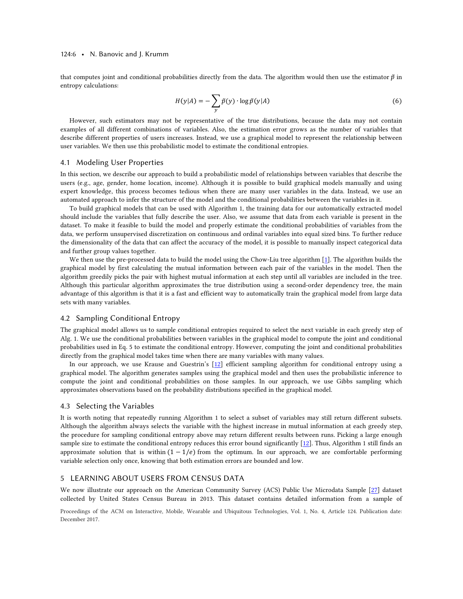#### 124:6 • N. Banovic and J. Krumm

that computes joint and conditional probabilities directly from the data. The algorithm would then use the estimator  $\tilde{p}$  in entropy calculations:

$$
H(y|A) = -\sum_{y} \tilde{p}(y) \cdot \log \tilde{p}(y|A)
$$
 (6)

However, such estimators may not be representative of the true distributions, because the data may not contain examples of all different combinations of variables. Also, the estimation error grows as the number of variables that describe different properties of users increases. Instead, we use a graphical model to represent the relationship between user variables. We then use this probabilistic model to estimate the conditional entropies.

#### 4.1 Modeling User Properties

In this section, we describe our approach to build a probabilistic model of relationships between variables that describe the users (e.g., age, gender, home location, income). Although it is possible to build graphical models manually and using expert knowledge, this process becomes tedious when there are many user variables in the data. Instead, we use an automated approach to infer the structure of the model and the conditional probabilities between the variables in it.

To build graphical models that can be used with Algorithm 1, the training data for our automatically extracted model should include the variables that fully describe the user. Also, we assume that data from each variable is present in the dataset. To make it feasible to build the model and properly estimate the conditional probabilities of variables from the data, we perform unsupervised discretization on continuous and ordinal variables into equal sized bins. To further reduce the dimensionality of the data that can affect the accuracy of the model, it is possible to manually inspect categorical data and further group values together.

We then use the pre-processed data to build the model using the Chow-Liu tree algorithm [1]. The algorithm builds the graphical model by first calculating the mutual information between each pair of the variables in the model. Then the algorithm greedily picks the pair with highest mutual information at each step until all variables are included in the tree. Although this particular algorithm approximates the true distribution using a second-order dependency tree, the main advantage of this algorithm is that it is a fast and efficient way to automatically train the graphical model from large data sets with many variables.

### 4.2 Sampling Conditional Entropy

The graphical model allows us to sample conditional entropies required to select the next variable in each greedy step of Alg. 1. We use the conditional probabilities between variables in the graphical model to compute the joint and conditional probabilities used in Eq. 5 to estimate the conditional entropy. However, computing the joint and conditional probabilities directly from the graphical model takes time when there are many variables with many values.

In our approach, we use Krause and Guestrin's [12] efficient sampling algorithm for conditional entropy using a graphical model. The algorithm generates samples using the graphical model and then uses the probabilistic inference to compute the joint and conditional probabilities on those samples. In our approach, we use Gibbs sampling which approximates observations based on the probability distributions specified in the graphical model.

### 4.3 Selecting the Variables

It is worth noting that repeatedly running Algorithm 1 to select a subset of variables may still return different subsets. Although the algorithm always selects the variable with the highest increase in mutual information at each greedy step, the procedure for sampling conditional entropy above may return different results between runs. Picking a large enough sample size to estimate the conditional entropy reduces this error bound significantly [12]. Thus, Algorithm 1 still finds an approximate solution that is within  $(1 - 1/e)$  from the optimum. In our approach, we are comfortable performing variable selection only once, knowing that both estimation errors are bounded and low.

### 5 LEARNING ABOUT USERS FROM CENSUS DATA

We now illustrate our approach on the American Community Survey (ACS) Public Use Microdata Sample [27] dataset collected by United States Census Bureau in 2013. This dataset contains detailed information from a sample of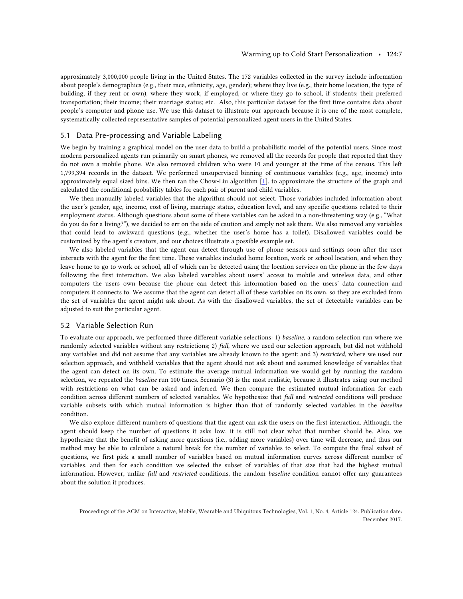approximately 3,000,000 people living in the United States. The 172 variables collected in the survey include information about people's demographics (e.g., their race, ethnicity, age, gender); where they live (e.g., their home location, the type of building, if they rent or own), where they work, if employed, or where they go to school, if students; their preferred transportation; their income; their marriage status; etc. Also, this particular dataset for the first time contains data about people's computer and phone use. We use this dataset to illustrate our approach because it is one of the most complete, systematically collected representative samples of potential personalized agent users in the United States.

### 5.1 Data Pre-processing and Variable Labeling

We begin by training a graphical model on the user data to build a probabilistic model of the potential users. Since most modern personalized agents run primarily on smart phones, we removed all the records for people that reported that they do not own a mobile phone. We also removed children who were 10 and younger at the time of the census. This left 1,799,394 records in the dataset. We performed unsupervised binning of continuous variables (e.g., age, income) into approximately equal sized bins. We then ran the Chow-Liu algorithm [1]. to approximate the structure of the graph and calculated the conditional probability tables for each pair of parent and child variables.

We then manually labeled variables that the algorithm should not select. Those variables included information about the user's gender, age, income, cost of living, marriage status, education level, and any specific questions related to their employment status. Although questions about some of these variables can be asked in a non-threatening way (e.g., "What do you do for a living?"), we decided to err on the side of caution and simply not ask them. We also removed any variables that could lead to awkward questions (e.g., whether the user's home has a toilet). Disallowed variables could be customized by the agent's creators, and our choices illustrate a possible example set.

We also labeled variables that the agent can detect through use of phone sensors and settings soon after the user interacts with the agent for the first time. These variables included home location, work or school location, and when they leave home to go to work or school, all of which can be detected using the location services on the phone in the few days following the first interaction. We also labeled variables about users' access to mobile and wireless data, and other computers the users own because the phone can detect this information based on the users' data connection and computers it connects to. We assume that the agent can detect all of these variables on its own, so they are excluded from the set of variables the agent might ask about. As with the disallowed variables, the set of detectable variables can be adjusted to suit the particular agent.

### 5.2 Variable Selection Run

To evaluate our approach, we performed three different variable selections: 1) *baseline*, a random selection run where we randomly selected variables without any restrictions; 2) *full*, where we used our selection approach, but did not withhold any variables and did not assume that any variables are already known to the agent; and 3) *restricted*, where we used our selection approach, and withheld variables that the agent should not ask about and assumed knowledge of variables that the agent can detect on its own. To estimate the average mutual information we would get by running the random selection, we repeated the *baseline* run 100 times. Scenario (3) is the most realistic, because it illustrates using our method with restrictions on what can be asked and inferred. We then compare the estimated mutual information for each condition across different numbers of selected variables. We hypothesize that *full* and *restricted* conditions will produce variable subsets with which mutual information is higher than that of randomly selected variables in the *baseline* condition.

We also explore different numbers of questions that the agent can ask the users on the first interaction. Although, the agent should keep the number of questions it asks low, it is still not clear what that number should be. Also, we hypothesize that the benefit of asking more questions (i.e., adding more variables) over time will decrease, and thus our method may be able to calculate a natural break for the number of variables to select. To compute the final subset of questions, we first pick a small number of variables based on mutual information curves across different number of variables, and then for each condition we selected the subset of variables of that size that had the highest mutual information. However, unlike *full* and *restricted* conditions, the random *baseline* condition cannot offer any guarantees about the solution it produces.

Proceedings of the ACM on Interactive, Mobile, Wearable and Ubiquitous Technologies, Vol. 1, No. 4, Article 124. Publication date: December 2017.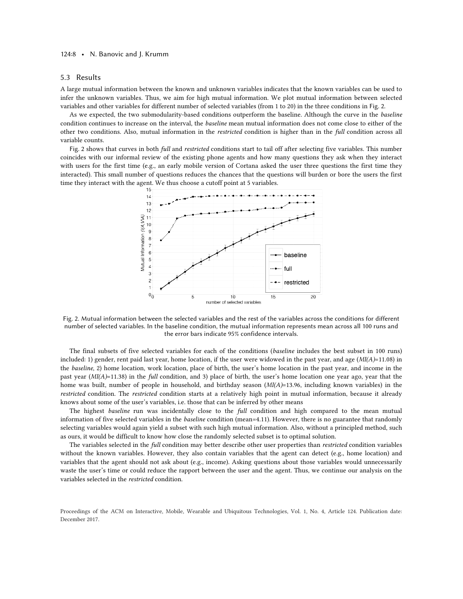#### 124:8 • N. Banovic and J. Krumm

#### 5.3 Results

A large mutual information between the known and unknown variables indicates that the known variables can be used to infer the unknown variables. Thus, we aim for high mutual information. We plot mutual information between selected variables and other variables for different number of selected variables (from 1 to 20) in the three conditions in Fig. 2.

As we expected, the two submodularity-based conditions outperform the baseline. Although the curve in the *baseline* condition continues to increase on the interval, the *baseline* mean mutual information does not come close to either of the other two conditions. Also, mutual information in the *restricted* condition is higher than in the *full* condition across all variable counts.

Fig. 2 shows that curves in both *full* and *restricted* conditions start to tail off after selecting five variables. This number coincides with our informal review of the existing phone agents and how many questions they ask when they interact with users for the first time (e.g., an early mobile version of Cortana asked the user three questions the first time they interacted). This small number of questions reduces the chances that the questions will burden or bore the users the first time they interact with the agent. We thus choose a cutoff point at 5 variables.



Fig. 2. Mutual information between the selected variables and the rest of the variables across the conditions for different number of selected variables. In the baseline condition, the mutual information represents mean across all 100 runs and the error bars indicate 95% confidence intervals.

The final subsets of five selected variables for each of the conditions (*baseline* includes the best subset in 100 runs) included: 1) gender, rent paid last year, home location, if the user were widowed in the past year, and age (*MI(A)*=11.08) in the *baseline*, 2) home location, work location, place of birth, the user's home location in the past year, and income in the past year (*MI(A)*=11.38) in the *full* condition, and 3) place of birth, the user's home location one year ago, year that the home was built, number of people in household, and birthday season (*MI(A)*=13.96, including known variables) in the *restricted* condition. The *restricted* condition starts at a relatively high point in mutual information, because it already knows about some of the user's variables, i.e. those that can be inferred by other means

The highest *baseline* run was incidentally close to the *full* condition and high compared to the mean mutual information of five selected variables in the *baseline* condition (mean=4.11). However, there is no guarantee that randomly selecting variables would again yield a subset with such high mutual information. Also, without a principled method, such as ours, it would be difficult to know how close the randomly selected subset is to optimal solution.

The variables selected in the *full* condition may better describe other user properties than *restricted* condition variables without the known variables. However, they also contain variables that the agent can detect (e.g., home location) and variables that the agent should not ask about (e.g., income). Asking questions about those variables would unnecessarily waste the user's time or could reduce the rapport between the user and the agent. Thus, we continue our analysis on the variables selected in the *restricted* condition.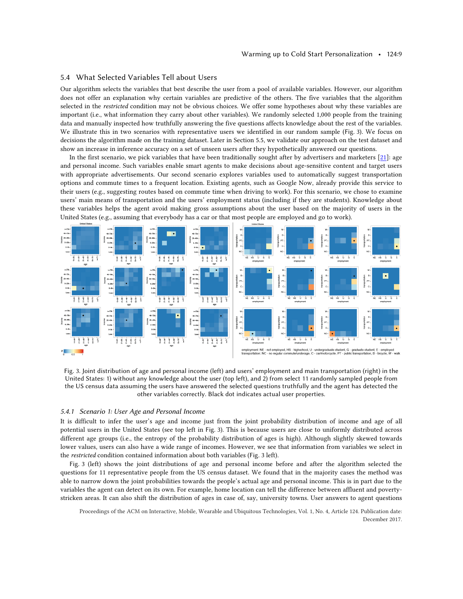### 5.4 What Selected Variables Tell about Users

Our algorithm selects the variables that best describe the user from a pool of available variables. However, our algorithm does not offer an explanation why certain variables are predictive of the others. The five variables that the algorithm selected in the *restricted* condition may not be obvious choices. We offer some hypotheses about why these variables are important (i.e., what information they carry about other variables). We randomly selected 1,000 people from the training data and manually inspected how truthfully answering the five questions affects knowledge about the rest of the variables. We illustrate this in two scenarios with representative users we identified in our random sample (Fig. 3). We focus on decisions the algorithm made on the training dataset. Later in Section 5.5, we validate our approach on the test dataset and show an increase in inference accuracy on a set of unseen users after they hypothetically answered our questions.

In the first scenario, we pick variables that have been traditionally sought after by advertisers and marketers [21]: age and personal income. Such variables enable smart agents to make decisions about age-sensitive content and target users with appropriate advertisements. Our second scenario explores variables used to automatically suggest transportation options and commute times to a frequent location. Existing agents, such as Google Now, already provide this service to their users (e.g., suggesting routes based on commute time when driving to work). For this scenario, we chose to examine users' main means of transportation and the users' employment status (including if they are students). Knowledge about these variables helps the agent avoid making gross assumptions about the user based on the majority of users in the United States (e.g., assuming that everybody has a car or that most people are employed and go to work).



Fig. 3. Joint distribution of age and personal income (left) and users' employment and main transportation (right) in the United States: 1) without any knowledge about the user (top left), and 2) from select 11 randomly sampled people from the US census data assuming the users have answered the selected questions truthfully and the agent has detected the other variables correctly. Black dot indicates actual user properties.

### *5.4.1 Scenario 1: User Age and Personal Income*

It is difficult to infer the user's age and income just from the joint probability distribution of income and age of all potential users in the United States (see top left in Fig. 3). This is because users are close to uniformly distributed across different age groups (i.e., the entropy of the probability distribution of ages is high). Although slightly skewed towards lower values, users can also have a wide range of incomes. However, we see that information from variables we select in the *restricted* condition contained information about both variables (Fig. 3 left).

Fig. 3 (left) shows the joint distributions of age and personal income before and after the algorithm selected the questions for 11 representative people from the US census dataset. We found that in the majority cases the method was able to narrow down the joint probabilities towards the people's actual age and personal income. This is in part due to the variables the agent can detect on its own. For example, home location can tell the difference between affluent and povertystricken areas. It can also shift the distribution of ages in case of, say, university towns. User answers to agent questions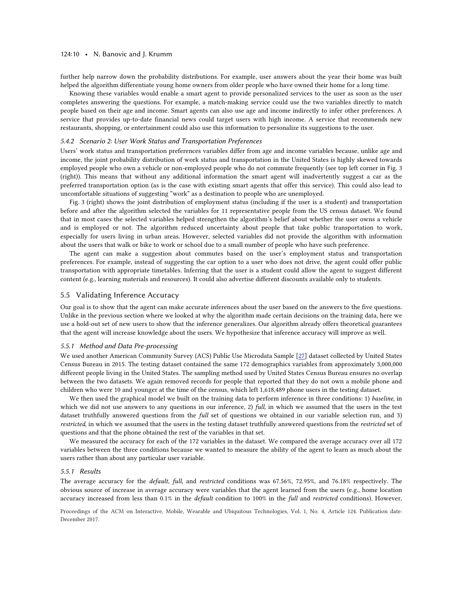#### 124:10 • N. Banovic and J. Krumm

further help narrow down the probability distributions. For example, user answers about the year their home was built helped the algorithm differentiate young home owners from older people who have owned their home for a long time.

Knowing these variables would enable a smart agent to provide personalized services to the user as soon as the user completes answering the questions. For example, a match-making service could use the two variables directly to match people based on their age and income. Smart agents can also use age and income indirectly to infer other preferences. A service that provides up-to-date financial news could target users with high income. A service that recommends new restaurants, shopping, or entertainment could also use this information to personalize its suggestions to the user.

#### *5.4.2 Scenario 2: User Work Status and Transportation Preferences*

Users' work status and transportation preferences variables differ from age and income variables because, unlike age and income, the joint probability distribution of work status and transportation in the United States is highly skewed towards employed people who own a vehicle or non-employed people who do not commute frequently (see top left corner in Fig. 3 (right)). This means that without any additional information the smart agent will inadvertently suggest a car as the preferred transportation option (as is the case with existing smart agents that offer this service). This could also lead to uncomfortable situations of suggesting "work" as a destination to people who are unemployed.

Fig. 3 (right) shows the joint distribution of employment status (including if the user is a student) and transportation before and after the algorithm selected the variables for 11 representative people from the US census dataset. We found that in most cases the selected variables helped strengthen the algorithm's belief about whether the user owns a vehicle and is employed or not. The algorithm reduced uncertainty about people that take public transportation to work, especially for users living in urban areas. However, selected variables did not provide the algorithm with information about the users that walk or bike to work or school due to a small number of people who have such preference.

The agent can make a suggestion about commutes based on the user's employment status and transportation preferences. For example, instead of suggesting the car option to a user who does not drive, the agent could offer public transportation with appropriate timetables. Inferring that the user is a student could allow the agent to suggest different content (e.g., learning materials and resources). It could also advertise different discounts available only to students.

### 5.5 Validating Inference Accuracy

Our goal is to show that the agent can make accurate inferences about the user based on the answers to the five questions. Unlike in the previous section where we looked at why the algorithm made certain decisions on the training data, here we use a hold-out set of new users to show that the inference generalizes. Our algorithm already offers theoretical guarantees that the agent will increase knowledge about the users. We hypothesize that inference accuracy will improve as well.

### *5.5.1 Method and Data Pre-processing*

We used another American Community Survey (ACS) Public Use Microdata Sample [27] dataset collected by United States Census Bureau in 2015. The testing dataset contained the same 172 demographics variables from approximately 3,000,000 different people living in the United States. The sampling method used by United States Census Bureau ensures no overlap between the two datasets. We again removed records for people that reported that they do not own a mobile phone and children who were 10 and younger at the time of the census, which left 1,618,489 phone users in the testing dataset.

We then used the graphical model we built on the training data to perform inference in three conditions: 1) *baseline*, in which we did not use answers to any questions in our inference, 2) *full*, in which we assumed that the users in the test dataset truthfully answered questions from the *full* set of questions we obtained in our variable selection run, and 3) *restricted*, in which we assumed that the users in the testing dataset truthfully answered questions from the *restricted* set of questions and that the phone obtained the rest of the variables in that set.

We measured the accuracy for each of the 172 variables in the dataset. We compared the average accuracy over all 172 variables between the three conditions because we wanted to measure the ability of the agent to learn as much about the users rather than about any particular user variable.

#### *5.5.1 Results*

The average accuracy for the *default*, *full*, and *restricted* conditions was 67.56%, 72.95%, and 76.18% respectively. The obvious source of increase in average accuracy were variables that the agent learned from the users (e.g., home location accuracy increased from less than 0.1% in the *default* condition to 100% in the *full* and *restricted* conditions). However,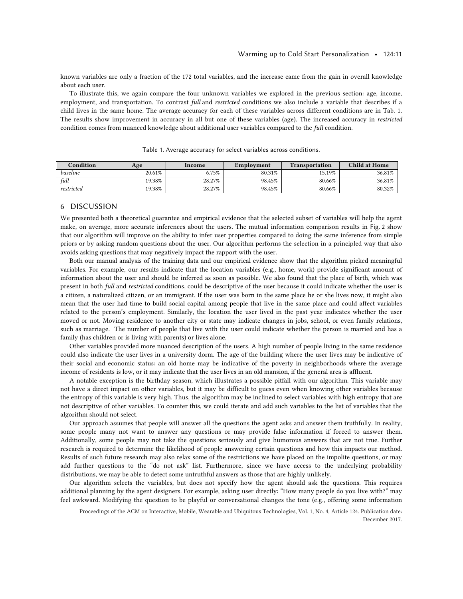known variables are only a fraction of the 172 total variables, and the increase came from the gain in overall knowledge about each user.

To illustrate this, we again compare the four unknown variables we explored in the previous section: age, income, employment, and transportation. To contrast *full* and *restricted* conditions we also include a variable that describes if a child lives in the same home. The average accuracy for each of these variables across different conditions are in Tab. 1. The results show improvement in accuracy in all but one of these variables (age). The increased accuracy in *restricted* condition comes from nuanced knowledge about additional user variables compared to the *full* condition.

| Condition  | Age    | Income | Employment | <b>Transportation</b> | Child at Home |
|------------|--------|--------|------------|-----------------------|---------------|
| baseline   | 20.61% | 6.75%  | 80.31%     | 15.19%                | 36.81%        |
| full       | 19.38% | 28.27% | 98.45%     | 80.66%                | 36.81%        |
| restricted | 19.38% | 28.27% | 98.45%     | 80.66%                | 80.32%        |

Table 1. Average accuracy for select variables across conditions.

### 6 DISCUSSION

We presented both a theoretical guarantee and empirical evidence that the selected subset of variables will help the agent make, on average, more accurate inferences about the users. The mutual information comparison results in Fig. 2 show that our algorithm will improve on the ability to infer user properties compared to doing the same inference from simple priors or by asking random questions about the user. Our algorithm performs the selection in a principled way that also avoids asking questions that may negatively impact the rapport with the user.

Both our manual analysis of the training data and our empirical evidence show that the algorithm picked meaningful variables. For example, our results indicate that the location variables (e.g., home, work) provide significant amount of information about the user and should be inferred as soon as possible. We also found that the place of birth, which was present in both *full* and *restricted* conditions, could be descriptive of the user because it could indicate whether the user is a citizen, a naturalized citizen, or an immigrant. If the user was born in the same place he or she lives now, it might also mean that the user had time to build social capital among people that live in the same place and could affect variables related to the person's employment. Similarly, the location the user lived in the past year indicates whether the user moved or not. Moving residence to another city or state may indicate changes in jobs, school, or even family relations, such as marriage. The number of people that live with the user could indicate whether the person is married and has a family (has children or is living with parents) or lives alone.

Other variables provided more nuanced description of the users. A high number of people living in the same residence could also indicate the user lives in a university dorm. The age of the building where the user lives may be indicative of their social and economic status: an old home may be indicative of the poverty in neighborhoods where the average income of residents is low, or it may indicate that the user lives in an old mansion, if the general area is affluent.

A notable exception is the birthday season, which illustrates a possible pitfall with our algorithm. This variable may not have a direct impact on other variables, but it may be difficult to guess even when knowing other variables because the entropy of this variable is very high. Thus, the algorithm may be inclined to select variables with high entropy that are not descriptive of other variables. To counter this, we could iterate and add such variables to the list of variables that the algorithm should not select.

Our approach assumes that people will answer all the questions the agent asks and answer them truthfully. In reality, some people many not want to answer any questions or may provide false information if forced to answer them. Additionally, some people may not take the questions seriously and give humorous answers that are not true. Further research is required to determine the likelihood of people answering certain questions and how this impacts our method. Results of such future research may also relax some of the restrictions we have placed on the impolite questions, or may add further questions to the "do not ask" list. Furthermore, since we have access to the underlying probability distributions, we may be able to detect some untruthful answers as those that are highly unlikely.

Our algorithm selects the variables, but does not specify how the agent should ask the questions. This requires additional planning by the agent designers. For example, asking user directly: "How many people do you live with?" may feel awkward. Modifying the question to be playful or conversational changes the tone (e.g*.*, offering some information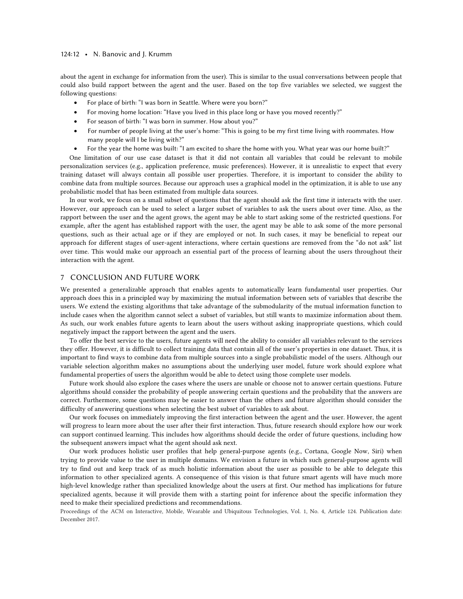### 124:12 • N. Banovic and J. Krumm

about the agent in exchange for information from the user). This is similar to the usual conversations between people that could also build rapport between the agent and the user. Based on the top five variables we selected, we suggest the following questions:

- For place of birth: "I was born in Seattle. Where were you born?"
- For moving home location: "Have you lived in this place long or have you moved recently?"
- For season of birth: "I was born in summer. How about you?"
- For number of people living at the user's home: "This is going to be my first time living with roommates. How many people will I be living with?"
- For the year the home was built: "I am excited to share the home with you. What year was our home built?"

One limitation of our use case dataset is that it did not contain all variables that could be relevant to mobile personalization services (e.g., application preference, music preferences). However, it is unrealistic to expect that every training dataset will always contain all possible user properties. Therefore, it is important to consider the ability to combine data from multiple sources. Because our approach uses a graphical model in the optimization, it is able to use any probabilistic model that has been estimated from multiple data sources.

In our work, we focus on a small subset of questions that the agent should ask the first time it interacts with the user. However, our approach can be used to select a larger subset of variables to ask the users about over time. Also, as the rapport between the user and the agent grows, the agent may be able to start asking some of the restricted questions. For example, after the agent has established rapport with the user, the agent may be able to ask some of the more personal questions, such as their actual age or if they are employed or not. In such cases, it may be beneficial to repeat our approach for different stages of user-agent interactions, where certain questions are removed from the "do not ask" list over time. This would make our approach an essential part of the process of learning about the users throughout their interaction with the agent.

### 7 CONCLUSION AND FUTURE WORK

We presented a generalizable approach that enables agents to automatically learn fundamental user properties. Our approach does this in a principled way by maximizing the mutual information between sets of variables that describe the users. We extend the existing algorithms that take advantage of the submodularity of the mutual information function to include cases when the algorithm cannot select a subset of variables, but still wants to maximize information about them. As such, our work enables future agents to learn about the users without asking inappropriate questions, which could negatively impact the rapport between the agent and the users.

To offer the best service to the users, future agents will need the ability to consider all variables relevant to the services they offer. However, it is difficult to collect training data that contain all of the user's properties in one dataset. Thus, it is important to find ways to combine data from multiple sources into a single probabilistic model of the users. Although our variable selection algorithm makes no assumptions about the underlying user model, future work should explore what fundamental properties of users the algorithm would be able to detect using those complete user models.

Future work should also explore the cases where the users are unable or choose not to answer certain questions. Future algorithms should consider the probability of people answering certain questions and the probability that the answers are correct. Furthermore, some questions may be easier to answer than the others and future algorithm should consider the difficulty of answering questions when selecting the best subset of variables to ask about.

Our work focuses on immediately improving the first interaction between the agent and the user. However, the agent will progress to learn more about the user after their first interaction. Thus, future research should explore how our work can support continued learning. This includes how algorithms should decide the order of future questions, including how the subsequent answers impact what the agent should ask next.

Our work produces holistic user profiles that help general-purpose agents (e.g., Cortana, Google Now, Siri) when trying to provide value to the user in multiple domains. We envision a future in which such general-purpose agents will try to find out and keep track of as much holistic information about the user as possible to be able to delegate this information to other specialized agents. A consequence of this vision is that future smart agents will have much more high-level knowledge rather than specialized knowledge about the users at first. Our method has implications for future specialized agents, because it will provide them with a starting point for inference about the specific information they need to make their specialized predictions and recommendations.